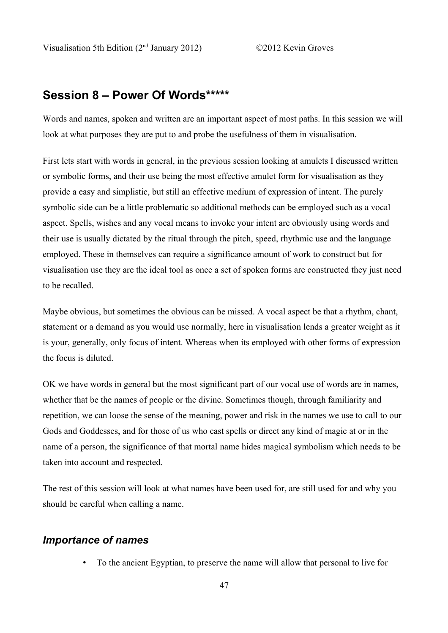# **Session 8 – Power Of Words\*\*\*\*\***

Words and names, spoken and written are an important aspect of most paths. In this session we will look at what purposes they are put to and probe the usefulness of them in visualisation.

First lets start with words in general, in the previous session looking at amulets I discussed written or symbolic forms, and their use being the most effective amulet form for visualisation as they provide a easy and simplistic, but still an effective medium of expression of intent. The purely symbolic side can be a little problematic so additional methods can be employed such as a vocal aspect. Spells, wishes and any vocal means to invoke your intent are obviously using words and their use is usually dictated by the ritual through the pitch, speed, rhythmic use and the language employed. These in themselves can require a significance amount of work to construct but for visualisation use they are the ideal tool as once a set of spoken forms are constructed they just need to be recalled.

Maybe obvious, but sometimes the obvious can be missed. A vocal aspect be that a rhythm, chant, statement or a demand as you would use normally, here in visualisation lends a greater weight as it is your, generally, only focus of intent. Whereas when its employed with other forms of expression the focus is diluted.

OK we have words in general but the most significant part of our vocal use of words are in names, whether that be the names of people or the divine. Sometimes though, through familiarity and repetition, we can loose the sense of the meaning, power and risk in the names we use to call to our Gods and Goddesses, and for those of us who cast spells or direct any kind of magic at or in the name of a person, the significance of that mortal name hides magical symbolism which needs to be taken into account and respected.

The rest of this session will look at what names have been used for, are still used for and why you should be careful when calling a name.

## *Importance of names*

• To the ancient Egyptian, to preserve the name will allow that personal to live for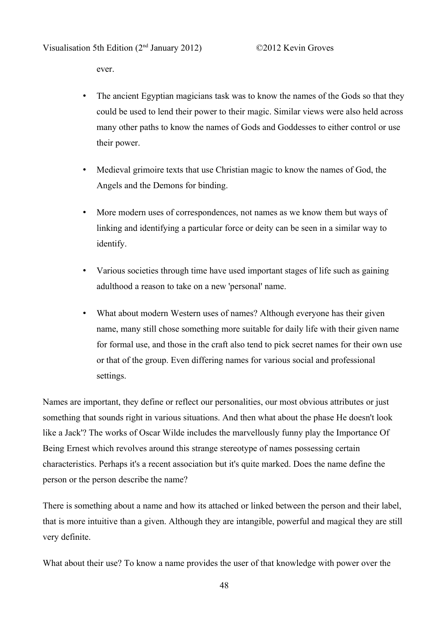ever.

- The ancient Egyptian magicians task was to know the names of the Gods so that they could be used to lend their power to their magic. Similar views were also held across many other paths to know the names of Gods and Goddesses to either control or use their power.
- Medieval grimoire texts that use Christian magic to know the names of God, the Angels and the Demons for binding.
- More modern uses of correspondences, not names as we know them but ways of linking and identifying a particular force or deity can be seen in a similar way to identify.
- Various societies through time have used important stages of life such as gaining adulthood a reason to take on a new 'personal' name.
- What about modern Western uses of names? Although everyone has their given name, many still chose something more suitable for daily life with their given name for formal use, and those in the craft also tend to pick secret names for their own use or that of the group. Even differing names for various social and professional settings.

Names are important, they define or reflect our personalities, our most obvious attributes or just something that sounds right in various situations. And then what about the phase He doesn't look like a Jack'? The works of Oscar Wilde includes the marvellously funny play the Importance Of Being Ernest which revolves around this strange stereotype of names possessing certain characteristics. Perhaps it's a recent association but it's quite marked. Does the name define the person or the person describe the name?

There is something about a name and how its attached or linked between the person and their label, that is more intuitive than a given. Although they are intangible, powerful and magical they are still very definite.

What about their use? To know a name provides the user of that knowledge with power over the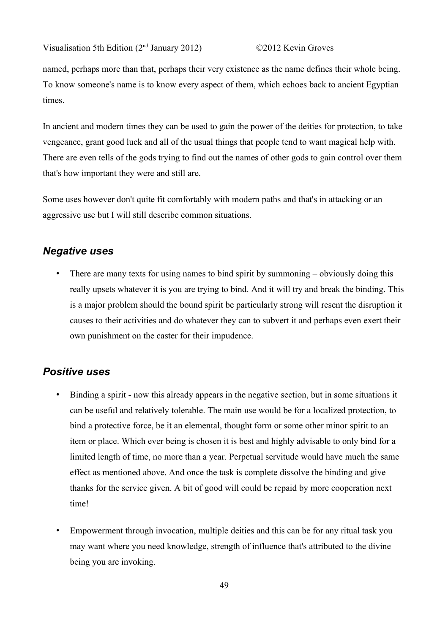Visualisation 5th Edition (2nd January 2012) ©2012 Kevin Groves

named, perhaps more than that, perhaps their very existence as the name defines their whole being. To know someone's name is to know every aspect of them, which echoes back to ancient Egyptian times.

In ancient and modern times they can be used to gain the power of the deities for protection, to take vengeance, grant good luck and all of the usual things that people tend to want magical help with. There are even tells of the gods trying to find out the names of other gods to gain control over them that's how important they were and still are.

Some uses however don't quite fit comfortably with modern paths and that's in attacking or an aggressive use but I will still describe common situations.

## *Negative uses*

• There are many texts for using names to bind spirit by summoning – obviously doing this really upsets whatever it is you are trying to bind. And it will try and break the binding. This is a major problem should the bound spirit be particularly strong will resent the disruption it causes to their activities and do whatever they can to subvert it and perhaps even exert their own punishment on the caster for their impudence.

# *Positive uses*

- Binding a spirit now this already appears in the negative section, but in some situations it can be useful and relatively tolerable. The main use would be for a localized protection, to bind a protective force, be it an elemental, thought form or some other minor spirit to an item or place. Which ever being is chosen it is best and highly advisable to only bind for a limited length of time, no more than a year. Perpetual servitude would have much the same effect as mentioned above. And once the task is complete dissolve the binding and give thanks for the service given. A bit of good will could be repaid by more cooperation next time!
- Empowerment through invocation, multiple deities and this can be for any ritual task you may want where you need knowledge, strength of influence that's attributed to the divine being you are invoking.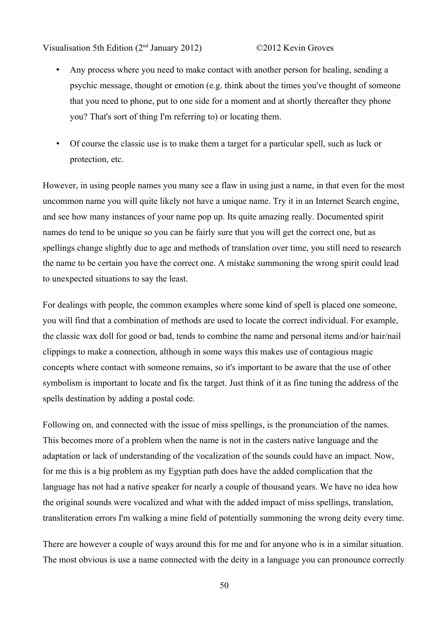Visualisation 5th Edition (2nd January 2012) ©2012 Kevin Groves

- Any process where you need to make contact with another person for healing, sending a psychic message, thought or emotion (e.g. think about the times you've thought of someone that you need to phone, put to one side for a moment and at shortly thereafter they phone you? That's sort of thing I'm referring to) or locating them.
- Of course the classic use is to make them a target for a particular spell, such as luck or protection, etc.

However, in using people names you many see a flaw in using just a name, in that even for the most uncommon name you will quite likely not have a unique name. Try it in an Internet Search engine, and see how many instances of your name pop up. Its quite amazing really. Documented spirit names do tend to be unique so you can be fairly sure that you will get the correct one, but as spellings change slightly due to age and methods of translation over time, you still need to research the name to be certain you have the correct one. A mistake summoning the wrong spirit could lead to unexpected situations to say the least.

For dealings with people, the common examples where some kind of spell is placed one someone, you will find that a combination of methods are used to locate the correct individual. For example, the classic wax doll for good or bad, tends to combine the name and personal items and/or hair/nail clippings to make a connection, although in some ways this makes use of contagious magic concepts where contact with someone remains, so it's important to be aware that the use of other symbolism is important to locate and fix the target. Just think of it as fine tuning the address of the spells destination by adding a postal code.

Following on, and connected with the issue of miss spellings, is the pronunciation of the names. This becomes more of a problem when the name is not in the casters native language and the adaptation or lack of understanding of the vocalization of the sounds could have an impact. Now, for me this is a big problem as my Egyptian path does have the added complication that the language has not had a native speaker for nearly a couple of thousand years. We have no idea how the original sounds were vocalized and what with the added impact of miss spellings, translation, transliteration errors I'm walking a mine field of potentially summoning the wrong deity every time.

There are however a couple of ways around this for me and for anyone who is in a similar situation. The most obvious is use a name connected with the deity in a language you can pronounce correctly